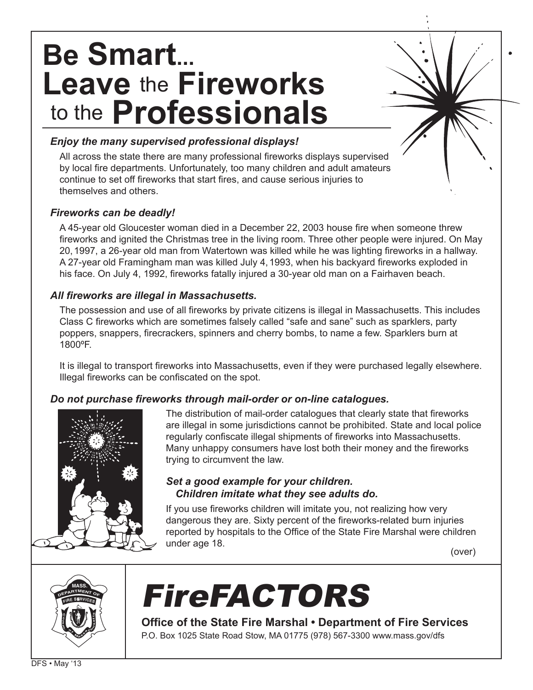# **Be Smart... Leave** the **Fireworks** to the **Professionals**

#### *Enjoy the many supervised professional displays!*

All across the state there are many professional fireworks displays supervised by local fire departments. Unfortunately, too many children and adult amateurs continue to set off fireworks that start fires, and cause serious injuries to themselves and others.

### *Fireworks can be deadly!*

A 45-year old Gloucester woman died in a December 22, 2003 house fire when someone threw fireworks and ignited the Christmas tree in the living room. Three other people were injured. On May 20,1997, a 26-year old man from Watertown was killed while he was lighting fireworks in a hallway. A 27-year old Framingham man was killed July 4,1993, when his backyard fireworks exploded in his face. On July 4, 1992, fireworks fatally injured a 30-year old man on a Fairhaven beach.

### *All fireworks are illegal in Massachusetts.*

The possession and use of all fireworks by private citizens is illegal in Massachusetts. This includes Class C fireworks which are sometimes falsely called "safe and sane" such as sparklers, party poppers, snappers, firecrackers, spinners and cherry bombs, to name a few. Sparklers burn at 1800ºF.

It is illegal to transport fireworks into Massachusetts, even if they were purchased legally elsewhere. Illegal fireworks can be confiscated on the spot.

# *Do not purchase fireworks through mail-order or on-line catalogues.*



The distribution of mail-order catalogues that clearly state that fireworks are illegal in some jurisdictions cannot be prohibited. State and local police regularly confiscate illegal shipments of fireworks into Massachusetts. Many unhappy consumers have lost both their money and the fireworks trying to circumvent the law.

# *Set a good example for your children. Children imitate what they see adults do.*

If you use fireworks children will imitate you, not realizing how very dangerous they are. Sixty percent of the fireworks-related burn injuries reported by hospitals to the Office of the State Fire Marshal were children under age 18. (over)



# FireFACTORS

**Office of the State Fire Marshal • Department of Fire Services** P.O. Box 1025 State Road Stow, MA 01775 (978) 567-3300 www.mass.gov/dfs